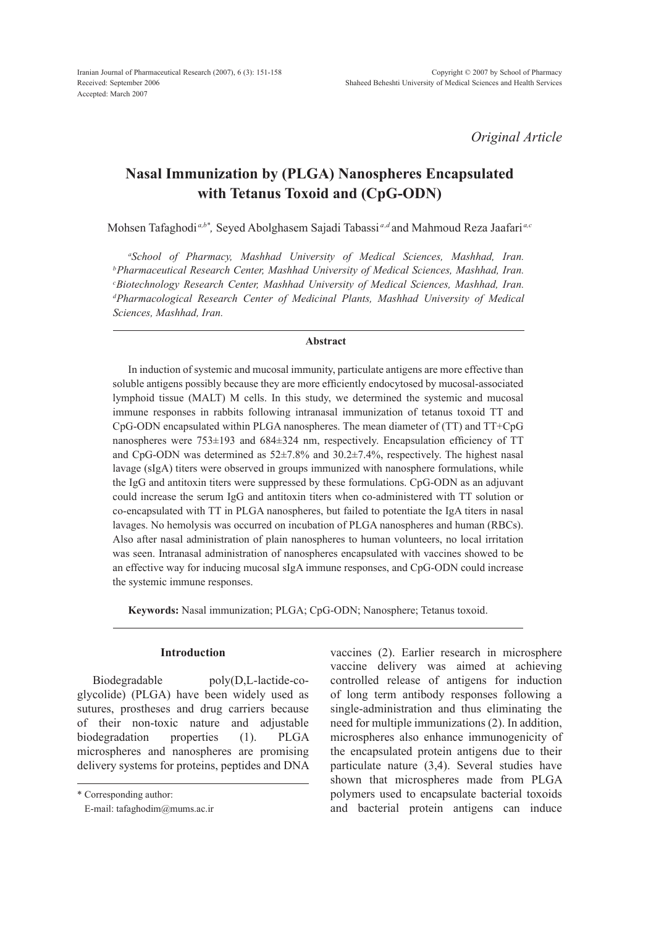*Original Article*

# **Nasal Immunization by (PLGA) Nanospheres Encapsulated with Tetanus Toxoid and (CpG-ODN)**

Mohsen Tafaghodi *a,b\*,* Seyed Abolghasem Sajadi Tabassi *a,d* and Mahmoud Reza Jaafari *a,c*

<sup>a</sup>School of Pharmacy, Mashhad University of Medical Sciences, Mashhad, Iran. <sup>*b*</sup> Pharmaceutical Research Center, Mashhad University of Medical Sciences, Mashhad, Iran. *c Biotechnology Research Center, Mashhad University of Medical Sciences, Mashhad, Iran. d Pharmacological Research Center of Medicinal Plants, Mashhad University of Medical Sciences, Mashhad, Iran.*

#### **Abstract**

In induction of systemic and mucosal immunity, particulate antigens are more effective than soluble antigens possibly because they are more efficiently endocytosed by mucosal-associated lymphoid tissue (MALT) M cells. In this study, we determined the systemic and mucosal immune responses in rabbits following intranasal immunization of tetanus toxoid TT and CpG-ODN encapsulated within PLGA nanospheres. The mean diameter of (TT) and TT+CpG nanospheres were 753±193 and 684±324 nm, respectively. Encapsulation efficiency of TT and CpG-ODN was determined as 52±7.8% and 30.2±7.4%, respectively. The highest nasal lavage (sIgA) titers were observed in groups immunized with nanosphere formulations, while the IgG and antitoxin titers were suppressed by these formulations. CpG-ODN as an adjuvant could increase the serum IgG and antitoxin titers when co-administered with TT solution or co-encapsulated with TT in PLGA nanospheres, but failed to potentiate the IgA titers in nasal lavages. No hemolysis was occurred on incubation of PLGA nanospheres and human (RBCs). Also after nasal administration of plain nanospheres to human volunteers, no local irritation was seen. Intranasal administration of nanospheres encapsulated with vaccines showed to be an effective way for inducing mucosal sIgA immune responses, and CpG-ODN could increase the systemic immune responses.

**Keywords:** Nasal immunization; PLGA; CpG-ODN; Nanosphere; Tetanus toxoid.

## **Introduction**

Biodegradable poly(D,L-lactide-coglycolide) (PLGA) have been widely used as sutures, prostheses and drug carriers because of their non-toxic nature and adjustable biodegradation properties (1). PLGA microspheres and nanospheres are promising delivery systems for proteins, peptides and DNA vaccines (2). Earlier research in microsphere vaccine delivery was aimed at achieving controlled release of antigens for induction of long term antibody responses following a single-administration and thus eliminating the need for multiple immunizations (2). In addition, microspheres also enhance immunogenicity of the encapsulated protein antigens due to their particulate nature (3,4). Several studies have shown that microspheres made from PLGA polymers used to encapsulate bacterial toxoids and bacterial protein antigens can induce

<sup>\*</sup> Corresponding author:

E-mail: tafaghodim@mums.ac.ir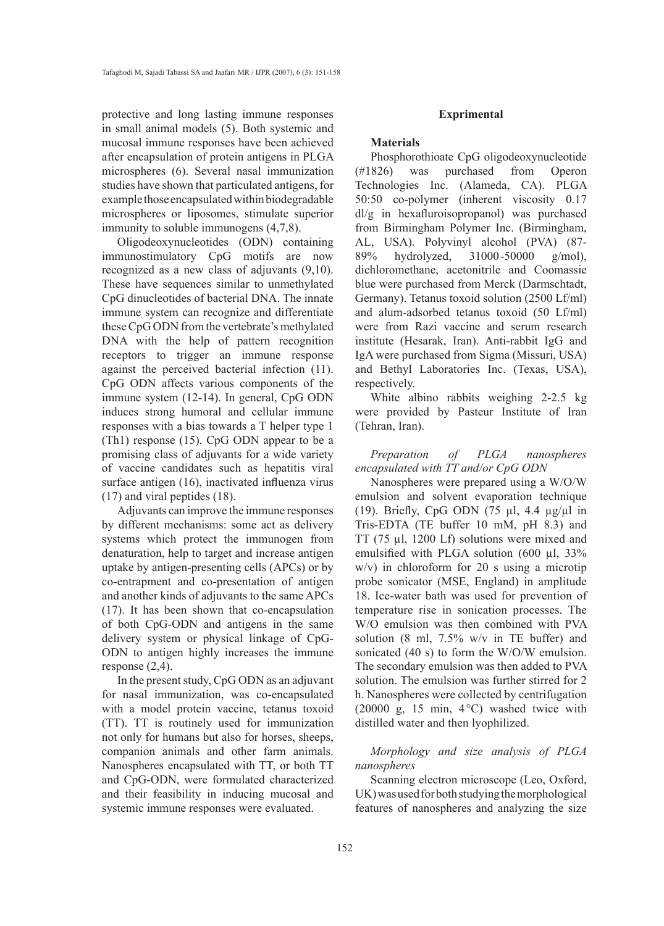protective and long lasting immune responses in small animal models (5). Both systemic and mucosal immune responses have been achieved after encapsulation of protein antigens in PLGA microspheres (6). Several nasal immunization studies have shown that particulated antigens, for example those encapsulated within biodegradable microspheres or liposomes, stimulate superior immunity to soluble immunogens (4,7,8).

Oligodeoxynucleotides (ODN) containing immunostimulatory CpG motifs are now recognized as a new class of adjuvants (9,10). These have sequences similar to unmethylated CpG dinucleotides of bacterial DNA. The innate immune system can recognize and differentiate these CpG ODN from the vertebrate's methylated DNA with the help of pattern recognition receptors to trigger an immune response against the perceived bacterial infection (11). CpG ODN affects various components of the immune system (12-14). In general, CpG ODN induces strong humoral and cellular immune responses with a bias towards a T helper type 1 (Th1) response (15). CpG ODN appear to be a promising class of adjuvants for a wide variety of vaccine candidates such as hepatitis viral surface antigen (16), inactivated influenza virus (17) and viral peptides (18).

Adjuvants can improve the immune responses by different mechanisms: some act as delivery systems which protect the immunogen from denaturation, help to target and increase antigen uptake by antigen-presenting cells (APCs) or by co-entrapment and co-presentation of antigen and another kinds of adjuvants to the same APCs (17). It has been shown that co-encapsulation of both CpG-ODN and antigens in the same delivery system or physical linkage of CpG-ODN to antigen highly increases the immune response (2,4).

In the present study, CpG ODN as an adjuvant for nasal immunization, was co-encapsulated with a model protein vaccine, tetanus toxoid (TT). TT is routinely used for immunization not only for humans but also for horses, sheeps, companion animals and other farm animals. Nanospheres encapsulated with TT, or both TT and CpG-ODN, were formulated characterized and their feasibility in inducing mucosal and systemic immune responses were evaluated.

#### **Exprimental**

#### **Materials**

Phosphorothioate CpG oligodeoxynucleotide (#1826) was purchased from Operon Technologies Inc. (Alameda, CA). PLGA 50:50 co-polymer (inherent viscosity 0.17 dl/g in hexafluroisopropanol) was purchased from Birmingham Polymer Inc. (Birmingham, AL, USA). Polyvinyl alcohol (PVA) (87- 89% hydrolyzed, 31000-50000 g/mol), dichloromethane, acetonitrile and Coomassie blue were purchased from Merck (Darmschtadt, Germany). Tetanus toxoid solution (2500 Lf/ml) and alum-adsorbed tetanus toxoid (50 Lf/ml) were from Razi vaccine and serum research institute (Hesarak, Iran). Anti-rabbit IgG and IgA were purchased from Sigma (Missuri, USA) and Bethyl Laboratories Inc. (Texas, USA), respectively.

White albino rabbits weighing 2-2.5 kg were provided by Pasteur Institute of Iran (Tehran, Iran).

*Preparation of PLGA nanospheres encapsulated with TT and/or CpG ODN*

Nanospheres were prepared using a W/O/W emulsion and solvent evaporation technique (19). Briefly, CpG ODN (75 µl, 4.4 µg/µl in Tris-EDTA (TE buffer 10 mM, pH 8.3) and TT (75 µl, 1200 Lf) solutions were mixed and emulsified with PLGA solution (600 µl, 33% w/v) in chloroform for 20 s using a microtip probe sonicator (MSE, England) in amplitude 18. Ice-water bath was used for prevention of temperature rise in sonication processes. The W/O emulsion was then combined with PVA solution (8 ml, 7.5% w/v in TE buffer) and sonicated (40 s) to form the W/O/W emulsion. The secondary emulsion was then added to PVA solution. The emulsion was further stirred for 2 h. Nanospheres were collected by centrifugation (20000 g, 15 min, 4°C) washed twice with distilled water and then lyophilized.

*Morphology and size analysis of PLGA nanospheres*

Scanning electron microscope (Leo, Oxford, UK) was used for both studying the morphological features of nanospheres and analyzing the size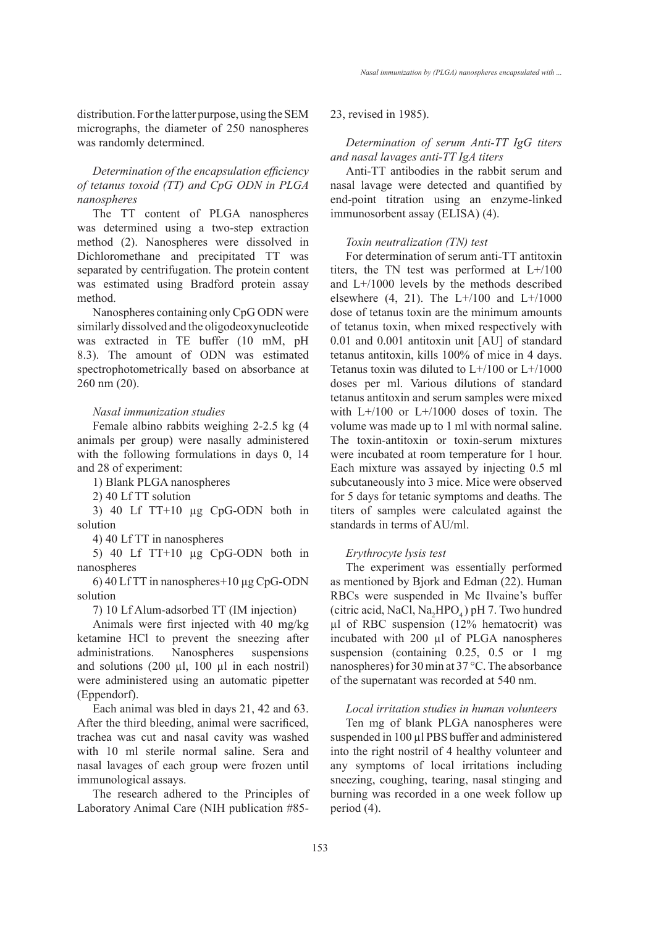distribution. For the latter purpose, using the SEM micrographs, the diameter of 250 nanospheres was randomly determined.

# *Determination of the encapsulation efficiency of tetanus toxoid (TT) and CpG ODN in PLGA nanospheres*

The TT content of PLGA nanospheres was determined using a two-step extraction method (2). Nanospheres were dissolved in Dichloromethane and precipitated TT was separated by centrifugation. The protein content was estimated using Bradford protein assay method.

Nanospheres containing only CpG ODN were similarly dissolved and the oligodeoxynucleotide was extracted in TE buffer (10 mM, pH 8.3). The amount of ODN was estimated spectrophotometrically based on absorbance at 260 nm (20).

#### *Nasal immunization studies*

Female albino rabbits weighing 2-2.5 kg (4 animals per group) were nasally administered with the following formulations in days 0, 14 and 28 of experiment:

1) Blank PLGA nanospheres

2) 40 Lf TT solution

3) 40 Lf TT+10 µg CpG-ODN both in solution

4) 40 Lf TT in nanospheres

5) 40 Lf TT+10 µg CpG-ODN both in nanospheres

6) 40 Lf TT in nanospheres+10 µg CpG-ODN solution

7) 10 Lf Alum-adsorbed TT (IM injection)

Animals were first injected with 40 mg/kg ketamine HCl to prevent the sneezing after administrations. Nanospheres suspensions and solutions  $(200 \mu l, 100 \mu l$  in each nostril) were administered using an automatic pipetter (Eppendorf).

Each animal was bled in days 21, 42 and 63. After the third bleeding, animal were sacrificed, trachea was cut and nasal cavity was washed with 10 ml sterile normal saline. Sera and nasal lavages of each group were frozen until immunological assays.

The research adhered to the Principles of Laboratory Animal Care (NIH publication #8523, revised in 1985).

## *Determination of serum Anti-TT IgG titers and nasal lavages anti-TT IgA titers*

Anti-TT antibodies in the rabbit serum and nasal lavage were detected and quantified by end-point titration using an enzyme-linked immunosorbent assay (ELISA) (4).

#### *Toxin neutralization (TN) test*

For determination of serum anti-TT antitoxin titers, the TN test was performed at  $L+/100$ and L+/1000 levels by the methods described elsewhere  $(4, 21)$ . The L+/100 and L+/1000 dose of tetanus toxin are the minimum amounts of tetanus toxin, when mixed respectively with 0.01 and 0.001 antitoxin unit [AU] of standard tetanus antitoxin, kills 100% of mice in 4 days. Tetanus toxin was diluted to  $L+/100$  or  $L+/1000$ doses per ml. Various dilutions of standard tetanus antitoxin and serum samples were mixed with L+/100 or L+/1000 doses of toxin. The volume was made up to 1 ml with normal saline. The toxin-antitoxin or toxin-serum mixtures were incubated at room temperature for 1 hour. Each mixture was assayed by injecting 0.5 ml subcutaneously into 3 mice. Mice were observed for 5 days for tetanic symptoms and deaths. The titers of samples were calculated against the standards in terms of AU/ml.

### *Erythrocyte lysis test*

The experiment was essentially performed as mentioned by Bjork and Edman (22). Human RBCs were suspended in Mc Ilvaine's buffer (citric acid, NaCl,  $Na<sub>2</sub>HPO<sub>4</sub>$ ) pH 7. Two hundred µl of RBC suspension (12% hematocrit) was incubated with 200 µl of PLGA nanospheres suspension (containing 0.25, 0.5 or 1 mg nanospheres) for 30 min at 37 °C. The absorbance of the supernatant was recorded at 540 nm.

## *Local irritation studies in human volunteers*

Ten mg of blank PLGA nanospheres were suspended in 100 µl PBS buffer and administered into the right nostril of 4 healthy volunteer and any symptoms of local irritations including sneezing, coughing, tearing, nasal stinging and burning was recorded in a one week follow up period (4).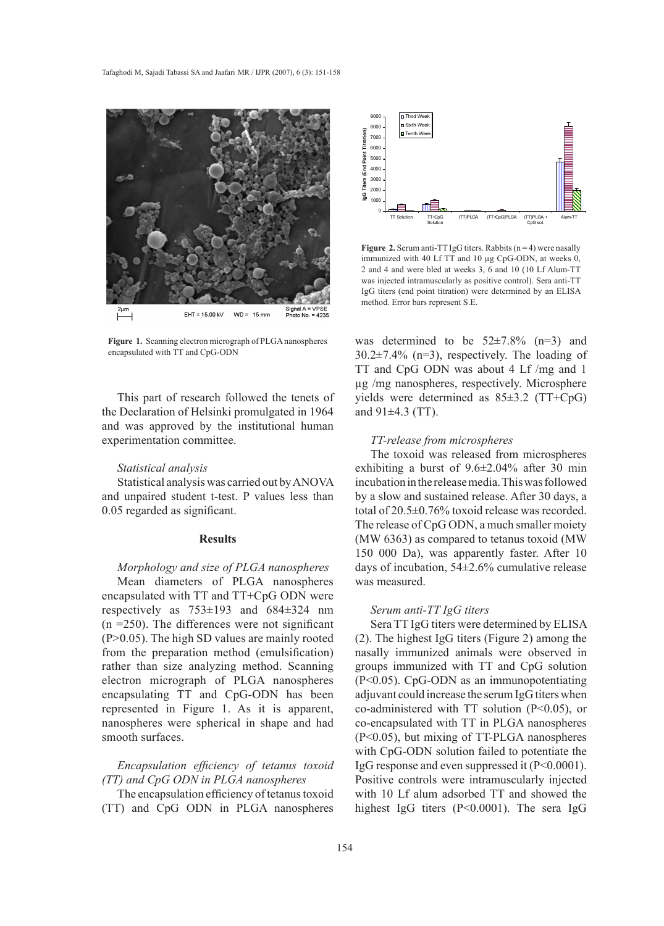

**Figure 1.** Scanning electron micrograph of PLGA nanospheres encapsulated with TT and CpG-ODN

This part of research followed the tenets of the Declaration of Helsinki promulgated in 1964 and was approved by the institutional human experimentation committee.

#### *Statistical analysis*

Statistical analysis was carried out by ANOVA and unpaired student t-test. P values less than 0.05 regarded as significant.

#### **Results**

*Morphology and size of PLGA nanospheres*

Mean diameters of PLGA nanospheres encapsulated with TT and TT+CpG ODN were respectively as 753±193 and 684±324 nm  $(n = 250)$ . The differences were not significant (P>0.05). The high SD values are mainly rooted from the preparation method (emulsification) rather than size analyzing method. Scanning electron micrograph of PLGA nanospheres encapsulating TT and CpG-ODN has been represented in Figure 1. As it is apparent, nanospheres were spherical in shape and had smooth surfaces.

*Encapsulation efficiency of tetanus toxoid (TT) and CpG ODN in PLGA nanospheres*

The encapsulation efficiency of tetanus toxoid (TT) and CpG ODN in PLGA nanospheres



**Figure 2.** Serum anti-TT IgG titers. Rabbits  $(n = 4)$  were nasally immunized with 40 Lf TT and 10 µg CpG-ODN, at weeks 0, 2 and 4 and were bled at weeks 3, 6 and 10 (10 Lf Alum-TT was injected intramuscularly as positive control). Sera anti-TT IgG titers (end point titration) were determined by an ELISA method. Error bars represent S.E.

was determined to be  $52\pm7.8\%$  (n=3) and  $30.2\pm7.4\%$  (n=3), respectively. The loading of TT and CpG ODN was about 4 Lf /mg and 1 µg /mg nanospheres, respectively. Microsphere yields were determined as 85±3.2 (TT+CpG) and 91±4.3 (TT).

#### *TT-release from microspheres*

The toxoid was released from microspheres exhibiting a burst of 9.6±2.04% after 30 min incubation in the release media. This was followed by a slow and sustained release. After 30 days, a total of 20.5±0.76% toxoid release was recorded. The release of CpG ODN, a much smaller moiety (MW 6363) as compared to tetanus toxoid (MW 150 000 Da), was apparently faster. After 10 days of incubation, 54±2.6% cumulative release was measured.

#### *Serum anti-TT IgG titers*

Sera TT IgG titers were determined by ELISA (2). The highest IgG titers (Figure 2) among the nasally immunized animals were observed in groups immunized with TT and CpG solution (P<0.05). CpG-ODN as an immunopotentiating adjuvant could increase the serum IgG titers when co-administered with TT solution (P<0.05), or co-encapsulated with TT in PLGA nanospheres (P<0.05), but mixing of TT-PLGA nanospheres with CpG-ODN solution failed to potentiate the IgG response and even suppressed it (P<0.0001). Positive controls were intramuscularly injected with 10 Lf alum adsorbed TT and showed the highest IgG titers (P<0.0001). The sera IgG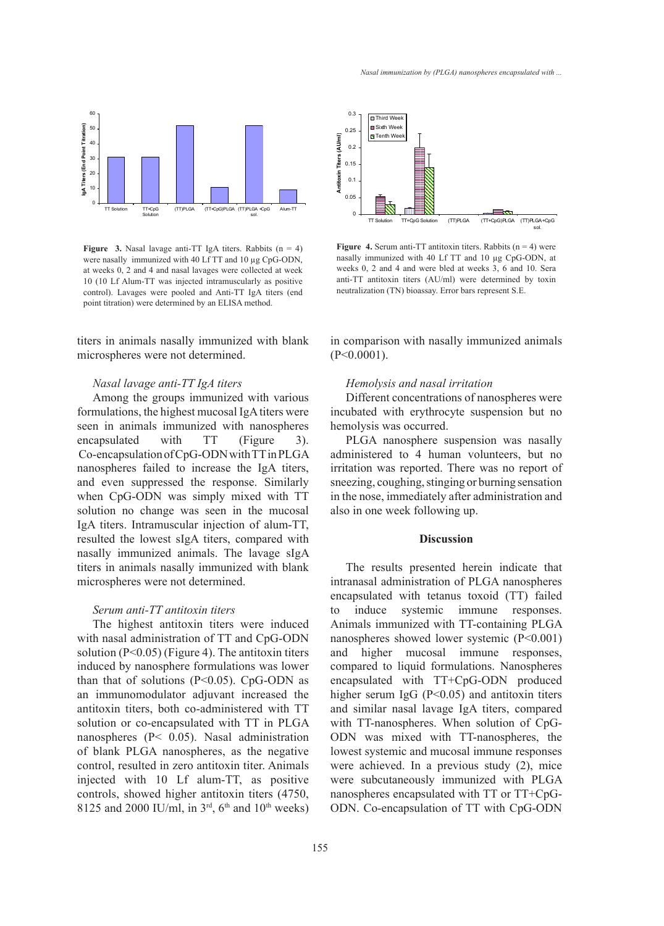

**Figure 3.** Nasal lavage anti-TT IgA titers. Rabbits  $(n = 4)$ were nasally immunized with 40 Lf TT and 10 µg CpG-ODN, at weeks 0, 2 and 4 and nasal lavages were collected at week 10 (10 Lf Alum-TT was injected intramuscularly as positive control). Lavages were pooled and Anti-TT IgA titers (end point titration) were determined by an ELISA method.

titers in animals nasally immunized with blank microspheres were not determined.

## *Nasal lavage anti-TT IgA titers*

Among the groups immunized with various formulations, the highest mucosal IgA titers were seen in animals immunized with nanospheres encapsulated with TT (Figure 3). Co-encapsulation of CpG-ODN with TT in PLGA nanospheres failed to increase the IgA titers, and even suppressed the response. Similarly when CpG-ODN was simply mixed with TT solution no change was seen in the mucosal IgA titers. Intramuscular injection of alum-TT, resulted the lowest sIgA titers, compared with nasally immunized animals. The lavage sIgA titers in animals nasally immunized with blank microspheres were not determined.

#### *Serum anti-TT antitoxin titers*

The highest antitoxin titers were induced with nasal administration of TT and CpG-ODN solution (P<0.05) (Figure 4). The antitoxin titers induced by nanosphere formulations was lower than that of solutions ( $P<0.05$ ). CpG-ODN as an immunomodulator adjuvant increased the antitoxin titers, both co-administered with TT solution or co-encapsulated with TT in PLGA nanospheres (P< 0.05). Nasal administration of blank PLGA nanospheres, as the negative control, resulted in zero antitoxin titer. Animals injected with 10 Lf alum-TT, as positive controls, showed higher antitoxin titers (4750, 8125 and 2000 IU/ml, in  $3<sup>rd</sup>$ , 6<sup>th</sup> and 10<sup>th</sup> weeks)



**Figure 4.** Serum anti-TT antitoxin titers. Rabbits  $(n = 4)$  were nasally immunized with 40 Lf TT and 10 µg CpG-ODN, at weeks 0, 2 and 4 and were bled at weeks 3, 6 and 10. Sera anti-TT antitoxin titers (AU/ml) were determined by toxin neutralization (TN) bioassay. Error bars represent S.E.

in comparison with nasally immunized animals  $(P<0.0001)$ .

#### *Hemolysis and nasal irritation*

Different concentrations of nanospheres were incubated with erythrocyte suspension but no hemolysis was occurred.

PLGA nanosphere suspension was nasally administered to 4 human volunteers, but no irritation was reported. There was no report of sneezing, coughing, stinging or burning sensation in the nose, immediately after administration and also in one week following up.

#### **Discussion**

The results presented herein indicate that intranasal administration of PLGA nanospheres encapsulated with tetanus toxoid (TT) failed to induce systemic immune responses. Animals immunized with TT-containing PLGA nanospheres showed lower systemic (P<0.001) and higher mucosal immune responses, compared to liquid formulations. Nanospheres encapsulated with TT+CpG-ODN produced higher serum IgG (P<0.05) and antitoxin titers and similar nasal lavage IgA titers, compared with TT-nanospheres. When solution of CpG-ODN was mixed with TT-nanospheres, the lowest systemic and mucosal immune responses were achieved. In a previous study (2), mice were subcutaneously immunized with PLGA nanospheres encapsulated with TT or TT+CpG-ODN. Co-encapsulation of TT with CpG-ODN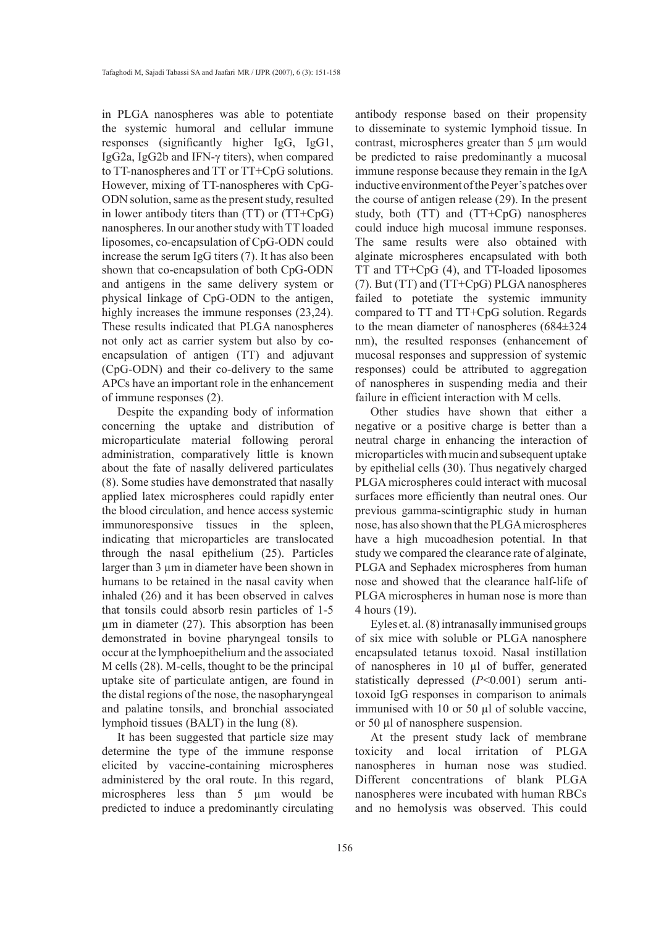in PLGA nanospheres was able to potentiate the systemic humoral and cellular immune responses (significantly higher IgG, IgG1, IgG2a, IgG2b and IFN-γ titers), when compared to TT-nanospheres and TT or TT+CpG solutions. However, mixing of TT-nanospheres with CpG-ODN solution, same as the present study, resulted in lower antibody titers than (TT) or (TT+CpG) nanospheres. In our another study with TT loaded liposomes, co-encapsulation of CpG-ODN could increase the serum IgG titers (7). It has also been shown that co-encapsulation of both CpG-ODN and antigens in the same delivery system or physical linkage of CpG-ODN to the antigen, highly increases the immune responses  $(23,24)$ . These results indicated that PLGA nanospheres not only act as carrier system but also by coencapsulation of antigen (TT) and adjuvant (CpG-ODN) and their co-delivery to the same APCs have an important role in the enhancement of immune responses (2).

Despite the expanding body of information concerning the uptake and distribution of microparticulate material following peroral administration, comparatively little is known about the fate of nasally delivered particulates (8). Some studies have demonstrated that nasally applied latex microspheres could rapidly enter the blood circulation, and hence access systemic immunoresponsive tissues in the spleen, indicating that microparticles are translocated through the nasal epithelium (25). Particles larger than 3 µm in diameter have been shown in humans to be retained in the nasal cavity when inhaled (26) and it has been observed in calves that tonsils could absorb resin particles of 1-5 µm in diameter (27). This absorption has been demonstrated in bovine pharyngeal tonsils to occur at the lymphoepithelium and the associated M cells (28). M-cells, thought to be the principal uptake site of particulate antigen, are found in the distal regions of the nose, the nasopharyngeal and palatine tonsils, and bronchial associated lymphoid tissues (BALT) in the lung (8).

It has been suggested that particle size may determine the type of the immune response elicited by vaccine-containing microspheres administered by the oral route. In this regard, microspheres less than 5 µm would be predicted to induce a predominantly circulating antibody response based on their propensity to disseminate to systemic lymphoid tissue. In contrast, microspheres greater than 5 µm would be predicted to raise predominantly a mucosal immune response because they remain in the IgA inductive environment of the Peyer's patches over the course of antigen release (29). In the present study, both (TT) and (TT+CpG) nanospheres could induce high mucosal immune responses. The same results were also obtained with alginate microspheres encapsulated with both TT and TT+CpG (4), and TT-loaded liposomes (7). But (TT) and (TT+CpG) PLGA nanospheres failed to potetiate the systemic immunity compared to TT and TT+CpG solution. Regards to the mean diameter of nanospheres (684±324 nm), the resulted responses (enhancement of mucosal responses and suppression of systemic responses) could be attributed to aggregation of nanospheres in suspending media and their failure in efficient interaction with M cells.

Other studies have shown that either a negative or a positive charge is better than a neutral charge in enhancing the interaction of microparticles with mucin and subsequent uptake by epithelial cells (30). Thus negatively charged PLGA microspheres could interact with mucosal surfaces more efficiently than neutral ones. Our previous gamma-scintigraphic study in human nose, has also shown that the PLGA microspheres have a high mucoadhesion potential. In that study we compared the clearance rate of alginate, PLGA and Sephadex microspheres from human nose and showed that the clearance half-life of PLGA microspheres in human nose is more than 4 hours (19).

Eyles et. al. (8) intranasally immunised groups of six mice with soluble or PLGA nanosphere encapsulated tetanus toxoid. Nasal instillation of nanospheres in 10 µl of buffer, generated statistically depressed (*P*<0.001) serum antitoxoid IgG responses in comparison to animals immunised with 10 or 50 µl of soluble vaccine, or 50 µl of nanosphere suspension.

At the present study lack of membrane toxicity and local irritation of PLGA nanospheres in human nose was studied. Different concentrations of blank PLGA nanospheres were incubated with human RBCs and no hemolysis was observed. This could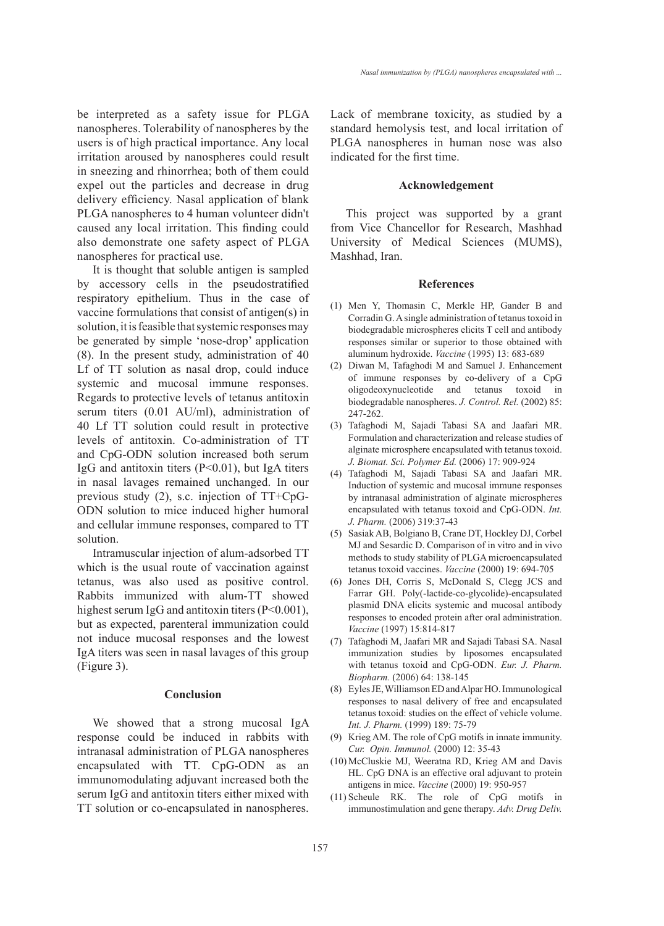be interpreted as a safety issue for PLGA nanospheres. Tolerability of nanospheres by the users is of high practical importance. Any local irritation aroused by nanospheres could result in sneezing and rhinorrhea; both of them could expel out the particles and decrease in drug delivery efficiency. Nasal application of blank PLGA nanospheres to 4 human volunteer didn't caused any local irritation. This finding could also demonstrate one safety aspect of PLGA nanospheres for practical use.

It is thought that soluble antigen is sampled by accessory cells in the pseudostratified respiratory epithelium. Thus in the case of vaccine formulations that consist of antigen(s) in solution, it is feasible that systemic responses may be generated by simple 'nose-drop' application (8). In the present study, administration of 40 Lf of TT solution as nasal drop, could induce systemic and mucosal immune responses. Regards to protective levels of tetanus antitoxin serum titers (0.01 AU/ml), administration of 40 Lf TT solution could result in protective levels of antitoxin. Co-administration of TT and CpG-ODN solution increased both serum IgG and antitoxin titers (P<0.01), but IgA titers in nasal lavages remained unchanged. In our previous study (2), s.c. injection of TT+CpG-ODN solution to mice induced higher humoral and cellular immune responses, compared to TT solution.

Intramuscular injection of alum-adsorbed TT which is the usual route of vaccination against tetanus, was also used as positive control. Rabbits immunized with alum-TT showed highest serum IgG and antitoxin titers (P<0.001), but as expected, parenteral immunization could not induce mucosal responses and the lowest IgA titers was seen in nasal lavages of this group (Figure 3).

## **Conclusion**

We showed that a strong mucosal IgA response could be induced in rabbits with intranasal administration of PLGA nanospheres encapsulated with TT. CpG-ODN as an immunomodulating adjuvant increased both the serum IgG and antitoxin titers either mixed with TT solution or co-encapsulated in nanospheres. Lack of membrane toxicity, as studied by a standard hemolysis test, and local irritation of PLGA nanospheres in human nose was also indicated for the first time.

#### **Acknowledgement**

This project was supported by a grant from Vice Chancellor for Research, Mashhad University of Medical Sciences (MUMS), Mashhad, Iran.

#### **References**

- Men Y, Thomasin C, Merkle HP, Gander B and (1) Corradin G. A single administration of tetanus toxoid in biodegradable microspheres elicits T cell and antibody responses similar or superior to those obtained with aluminum hydroxide. *Vaccine* (1995) 13: 683-689
- (2) Diwan M, Tafaghodi M and Samuel J. Enhancement of immune responses by co-delivery of a CpG oligodeoxynucleotide and tetanus toxoid in biodegradable nanospheres. *J. Control. Rel.* (2002) 85: 247-262.
- Tafaghodi M, Sajadi Tabasi SA and Jaafari MR. (3) Formulation and characterization and release studies of alginate microsphere encapsulated with tetanus toxoid. *J. Biomat. Sci. Polymer Ed.* (2006) 17: 909-924
- Tafaghodi M, Sajadi Tabasi SA and Jaafari MR. (4) Induction of systemic and mucosal immune responses by intranasal administration of alginate microspheres encapsulated with tetanus toxoid and CpG-ODN. *Int. J. Pharm.* (2006) 319:37-43
- (5) Sasiak AB, Bolgiano B, Crane DT, Hockley DJ, Corbel MJ and Sesardic D. Comparison of in vitro and in vivo methods to study stability of PLGA microencapsulated tetanus toxoid vaccines. *Vaccine* (2000) 19: 694-705
- (6) Jones DH, Corris S, McDonald S, Clegg JCS and Farrar GH. Poly(-lactide-co-glycolide)-encapsulated plasmid DNA elicits systemic and mucosal antibody responses to encoded protein after oral administration. *Vaccine* (1997) 15:814-817
- Tafaghodi M, Jaafari MR and Sajadi Tabasi SA. Nasal (7) immunization studies by liposomes encapsulated with tetanus toxoid and CpG-ODN. *Eur. J. Pharm. Biopharm.* (2006) 64: 138-145
- Eyles JE, Williamson ED and Alpar HO. Immunological (8) responses to nasal delivery of free and encapsulated tetanus toxoid: studies on the effect of vehicle volume. *Int. J. Pharm.* (1999) 189: 75-79
- (9) Krieg AM. The role of  $CpG$  motifs in innate immunity. *Cur. Opin. Immunol.* (2000) 12: 35-43
- (10) McCluskie MJ, Weeratna RD, Krieg AM and Davis HL. CpG DNA is an effective oral adjuvant to protein antigens in mice. *Vaccine* (2000) 19: 950-957
- $(11)$  Scheule RK. The role of CpG motifs in immunostimulation and gene therapy. *Adv. Drug Deliv.*